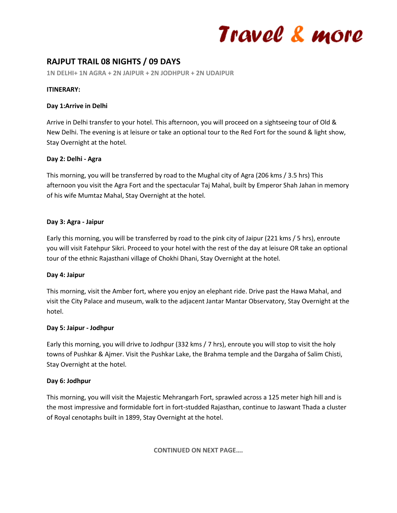# Travel & more

# **RAJPUT TRAIL 08 NIGHTS / 09 DAYS**

**1N DELHI+ 1N AGRA + 2N JAIPUR + 2N JODHPUR + 2N UDAIPUR**

# **ITINERARY:**

#### **Day 1:Arrive in Delhi**

Arrive in Delhi transfer to your hotel. This afternoon, you will proceed on a sightseeing tour of Old & New Delhi. The evening is at leisure or take an optional tour to the Red Fort for the sound & light show, Stay Overnight at the hotel.

# **Day 2: Delhi - Agra**

This morning, you will be transferred by road to the Mughal city of Agra (206 kms / 3.5 hrs) This afternoon you visit the Agra Fort and the spectacular Taj Mahal, built by Emperor Shah Jahan in memory of his wife Mumtaz Mahal, Stay Overnight at the hotel.

#### **Day 3: Agra - Jaipur**

Early this morning, you will be transferred by road to the pink city of Jaipur (221 kms / 5 hrs), enroute you will visit Fatehpur Sikri. Proceed to your hotel with the rest of the day at leisure OR take an optional tour of the ethnic Rajasthani village of Chokhi Dhani, Stay Overnight at the hotel.

# **Day 4: Jaipur**

This morning, visit the Amber fort, where you enjoy an elephant ride. Drive past the Hawa Mahal, and visit the City Palace and museum, walk to the adjacent Jantar Mantar Observatory, Stay Overnight at the hotel.

# **Day 5: Jaipur - Jodhpur**

Early this morning, you will drive to Jodhpur (332 kms / 7 hrs), enroute you will stop to visit the holy towns of Pushkar & Ajmer. Visit the Pushkar Lake, the Brahma temple and the Dargaha of Salim Chisti, Stay Overnight at the hotel.

# **Day 6: Jodhpur**

This morning, you will visit the Majestic Mehrangarh Fort, sprawled across a 125 meter high hill and is the most impressive and formidable fort in fort-studded Rajasthan, continue to Jaswant Thada a cluster of Royal cenotaphs built in 1899, Stay Overnight at the hotel.

**CONTINUED ON NEXT PAGE….**